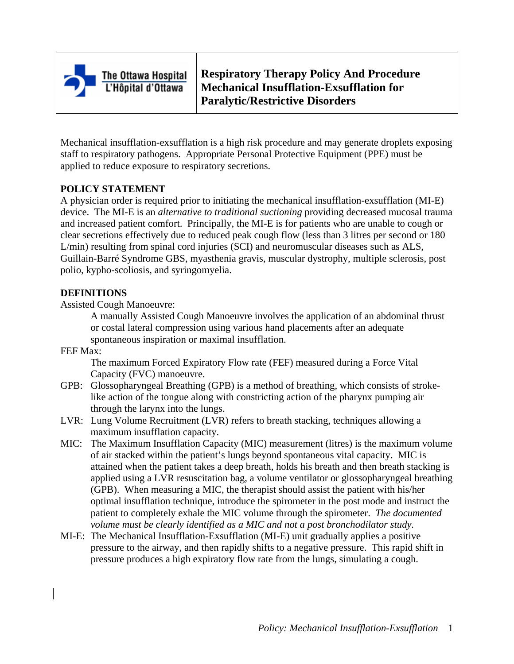

The Ottawa Hospital L'Hôpital d'Ottawa

**Respiratory Therapy Policy And Procedure Mechanical Insufflation-Exsufflation for Paralytic/Restrictive Disorders**

Mechanical insufflation-exsufflation is a high risk procedure and may generate droplets exposing staff to respiratory pathogens. Appropriate Personal Protective Equipment (PPE) must be applied to reduce exposure to respiratory secretions.

# **POLICY STATEMENT**

A physician order is required prior to initiating the mechanical insufflation-exsufflation (MI-E) device. The MI-E is an *alternative to traditional suctioning* providing decreased mucosal trauma and increased patient comfort. Principally, the MI-E is for patients who are unable to cough or clear secretions effectively due to reduced peak cough flow (less than 3 litres per second or 180 L/min) resulting from spinal cord injuries (SCI) and neuromuscular diseases such as ALS, Guillain-Barré Syndrome GBS, myasthenia gravis, muscular dystrophy, multiple sclerosis, post polio, kypho-scoliosis, and syringomyelia.

#### **DEFINITIONS**

Assisted Cough Manoeuvre:

A manually Assisted Cough Manoeuvre involves the application of an abdominal thrust or costal lateral compression using various hand placements after an adequate spontaneous inspiration or maximal insufflation.

FEF Max:

The maximum Forced Expiratory Flow rate (FEF) measured during a Force Vital Capacity (FVC) manoeuvre.

- GPB: Glossopharyngeal Breathing (GPB) is a method of breathing, which consists of strokelike action of the tongue along with constricting action of the pharynx pumping air through the larynx into the lungs.
- LVR: Lung Volume Recruitment (LVR) refers to breath stacking, techniques allowing a maximum insufflation capacity.
- MIC: The Maximum Insufflation Capacity (MIC) measurement (litres) is the maximum volume of air stacked within the patient's lungs beyond spontaneous vital capacity. MIC is attained when the patient takes a deep breath, holds his breath and then breath stacking is applied using a LVR resuscitation bag, a volume ventilator or glossopharyngeal breathing (GPB). When measuring a MIC, the therapist should assist the patient with his/her optimal insufflation technique, introduce the spirometer in the post mode and instruct the patient to completely exhale the MIC volume through the spirometer. *The documented volume must be clearly identified as a MIC and not a post bronchodilator study.*
- MI-E: The Mechanical Insufflation-Exsufflation (MI-E) unit gradually applies a positive pressure to the airway, and then rapidly shifts to a negative pressure. This rapid shift in pressure produces a high expiratory flow rate from the lungs, simulating a cough.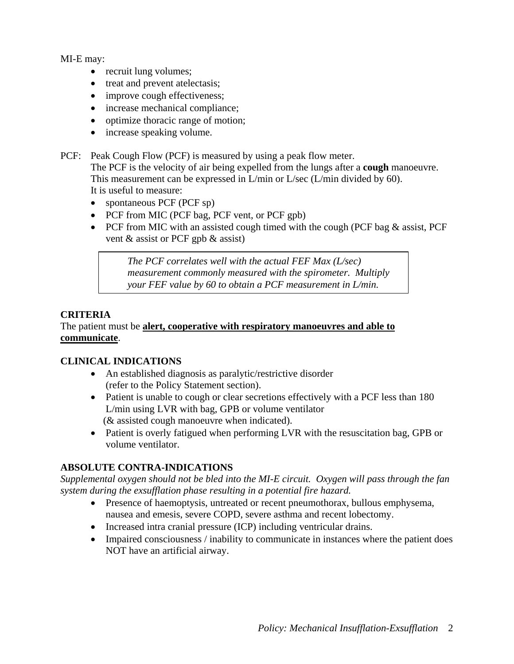MI-E may:

- recruit lung volumes;
- treat and prevent atelectasis:
- improve cough effectiveness;
- increase mechanical compliance;
- optimize thoracic range of motion;
- increase speaking volume.

PCF: Peak Cough Flow (PCF) is measured by using a peak flow meter.

The PCF is the velocity of air being expelled from the lungs after a **cough** manoeuvre. This measurement can be expressed in L/min or L/sec (L/min divided by 60). It is useful to measure:

- spontaneous PCF (PCF sp)
- PCF from MIC (PCF bag, PCF vent, or PCF gpb)
- PCF from MIC with an assisted cough timed with the cough (PCF bag & assist, PCF vent & assist or PCF gpb & assist)

*The PCF correlates well with the actual FEF Max (L/sec) measurement commonly measured with the spirometer. Multiply your FEF value by 60 to obtain a PCF measurement in L/min.* 

# **CRITERIA**

## The patient must be **alert, cooperative with respiratory manoeuvres and able to communicate**.

## **CLINICAL INDICATIONS**

- An established diagnosis as paralytic/restrictive disorder (refer to the Policy Statement section).
- Patient is unable to cough or clear secretions effectively with a PCF less than 180 L/min using LVR with bag, GPB or volume ventilator (& assisted cough manoeuvre when indicated).
- Patient is overly fatigued when performing LVR with the resuscitation bag, GPB or volume ventilator.

# **ABSOLUTE CONTRA-INDICATIONS**

*Supplemental oxygen should not be bled into the MI-E circuit. Oxygen will pass through the fan system during the exsufflation phase resulting in a potential fire hazard.*

- Presence of haemoptysis, untreated or recent pneumothorax, bullous emphysema, nausea and emesis, severe COPD, severe asthma and recent lobectomy.
- Increased intra cranial pressure (ICP) including ventricular drains.
- Impaired consciousness / inability to communicate in instances where the patient does NOT have an artificial airway.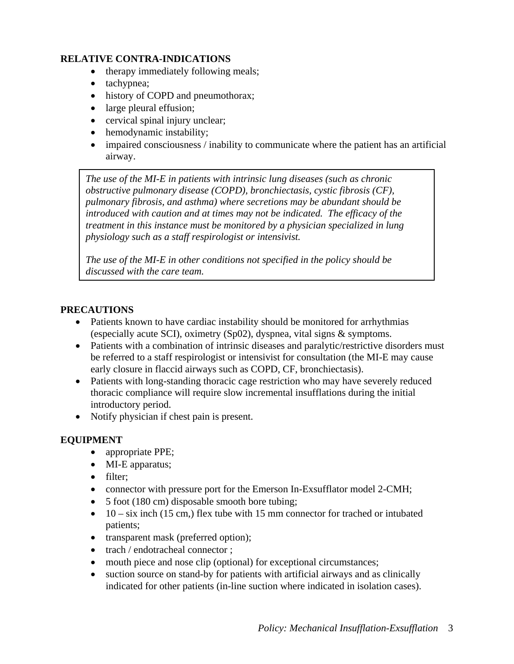#### **RELATIVE CONTRA-INDICATIONS**

- therapy immediately following meals;
- tachypnea;
- history of COPD and pneumothorax;
- large pleural effusion;
- cervical spinal injury unclear;
- hemodynamic instability;
- impaired consciousness / inability to communicate where the patient has an artificial airway.

*The use of the MI-E in patients with intrinsic lung diseases (such as chronic obstructive pulmonary disease (COPD), bronchiectasis, cystic fibrosis (CF), pulmonary fibrosis, and asthma) where secretions may be abundant should be introduced with caution and at times may not be indicated. The efficacy of the treatment in this instance must be monitored by a physician specialized in lung physiology such as a staff respirologist or intensivist.* 

*The use of the MI-E in other conditions not specified in the policy should be discussed with the care team.* 

## **PRECAUTIONS**

- Patients known to have cardiac instability should be monitored for arrhythmias (especially acute SCI), oximetry (Sp02), dyspnea, vital signs & symptoms.
- Patients with a combination of intrinsic diseases and paralytic/restrictive disorders must be referred to a staff respirologist or intensivist for consultation (the MI-E may cause early closure in flaccid airways such as COPD, CF, bronchiectasis).
- Patients with long-standing thoracic cage restriction who may have severely reduced thoracic compliance will require slow incremental insufflations during the initial introductory period.
- Notify physician if chest pain is present.

## **EQUIPMENT**

- appropriate PPE;
- MI-E apparatus;
- filter;
- connector with pressure port for the Emerson In-Exsufflator model 2-CMH;
- 5 foot (180 cm) disposable smooth bore tubing;
- 10 six inch (15 cm,) flex tube with 15 mm connector for trached or intubated patients;
- transparent mask (preferred option);
- trach / endotracheal connector ;
- mouth piece and nose clip (optional) for exceptional circumstances;
- suction source on stand-by for patients with artificial airways and as clinically indicated for other patients (in-line suction where indicated in isolation cases).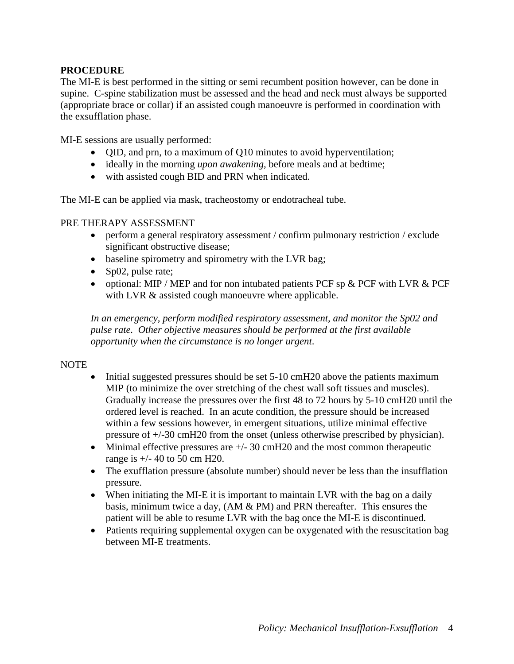## **PROCEDURE**

The MI-E is best performed in the sitting or semi recumbent position however, can be done in supine. C-spine stabilization must be assessed and the head and neck must always be supported (appropriate brace or collar) if an assisted cough manoeuvre is performed in coordination with the exsufflation phase.

MI-E sessions are usually performed:

- QID, and prn, to a maximum of Q10 minutes to avoid hyperventilation;
- ideally in the morning *upon awakening*, before meals and at bedtime;
- with assisted cough BID and PRN when indicated.

The MI-E can be applied via mask, tracheostomy or endotracheal tube.

#### PRE THERAPY ASSESSMENT

- perform a general respiratory assessment / confirm pulmonary restriction / exclude significant obstructive disease;
- baseline spirometry and spirometry with the LVR bag;
- Sp02, pulse rate;
- optional: MIP / MEP and for non intubated patients PCF sp & PCF with LVR & PCF with LVR  $&$  assisted cough manoeuvre where applicable.

*In an emergency, perform modified respiratory assessment, and monitor the Sp02 and pulse rate. Other objective measures should be performed at the first available opportunity when the circumstance is no longer urgent*.

#### NOTE

- Initial suggested pressures should be set 5-10 cmH20 above the patients maximum MIP (to minimize the over stretching of the chest wall soft tissues and muscles). Gradually increase the pressures over the first 48 to 72 hours by 5-10 cmH20 until the ordered level is reached. In an acute condition, the pressure should be increased within a few sessions however, in emergent situations, utilize minimal effective pressure of +/-30 cmH20 from the onset (unless otherwise prescribed by physician).
- Minimal effective pressures are  $+/- 30$  cmH20 and the most common therapeutic range is +/- 40 to 50 cm H20.
- The exufflation pressure (absolute number) should never be less than the insufflation pressure.
- When initiating the MI-E it is important to maintain LVR with the bag on a daily basis, minimum twice a day, (AM & PM) and PRN thereafter. This ensures the patient will be able to resume LVR with the bag once the MI-E is discontinued.
- Patients requiring supplemental oxygen can be oxygenated with the resuscitation bag between MI-E treatments.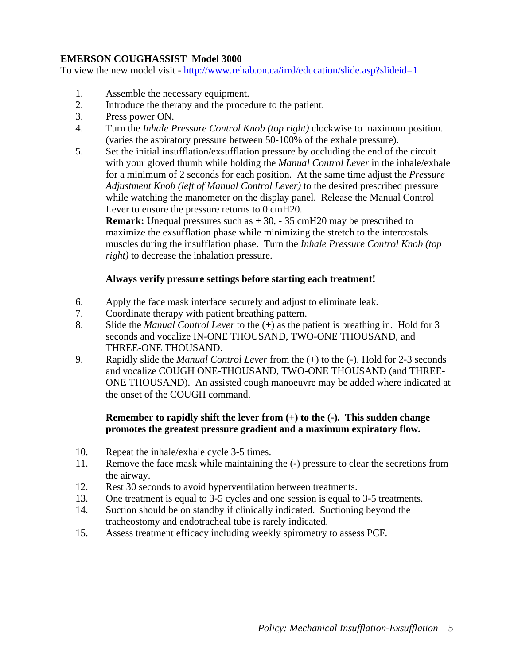# **EMERSON COUGHASSIST Model 3000**

To view the new model visit -<http://www.rehab.on.ca/irrd/education/slide.asp?slideid=1>

- 1. Assemble the necessary equipment.
- 2. Introduce the therapy and the procedure to the patient.
- 3. Press power ON.
- 4. Turn the *Inhale Pressure Control Knob (top right)* clockwise to maximum position. (varies the aspiratory pressure between 50-100% of the exhale pressure).
- 5. Set the initial insufflation/exsufflation pressure by occluding the end of the circuit with your gloved thumb while holding the *Manual Control Lever* in the inhale/exhale for a minimum of 2 seconds for each position. At the same time adjust the *Pressure Adjustment Knob (left of Manual Control Lever)* to the desired prescribed pressure while watching the manometer on the display panel. Release the Manual Control Lever to ensure the pressure returns to 0 cmH20.

**Remark:** Unequal pressures such as  $+30$ ,  $-35$  cmH20 may be prescribed to maximize the exsufflation phase while minimizing the stretch to the intercostals muscles during the insufflation phase. Turn the *Inhale Pressure Control Knob (top right)* to decrease the inhalation pressure.

## **Always verify pressure settings before starting each treatment!**

- 6. Apply the face mask interface securely and adjust to eliminate leak.
- 7. Coordinate therapy with patient breathing pattern.
- 8. Slide the *Manual Control Lever* to the (+) as the patient is breathing in. Hold for 3 seconds and vocalize IN-ONE THOUSAND, TWO-ONE THOUSAND, and THREE-ONE THOUSAND.
- 9. Rapidly slide the *Manual Control Lever* from the (+) to the (-). Hold for 2-3 seconds and vocalize COUGH ONE-THOUSAND, TWO-ONE THOUSAND (and THREE-ONE THOUSAND). An assisted cough manoeuvre may be added where indicated at the onset of the COUGH command.

## **Remember to rapidly shift the lever from (+) to the (-). This sudden change promotes the greatest pressure gradient and a maximum expiratory flow.**

- 10. Repeat the inhale/exhale cycle 3-5 times.
- 11. Remove the face mask while maintaining the (-) pressure to clear the secretions from the airway.
- 12. Rest 30 seconds to avoid hyperventilation between treatments.
- 13. One treatment is equal to 3-5 cycles and one session is equal to 3-5 treatments.
- 14. Suction should be on standby if clinically indicated. Suctioning beyond the tracheostomy and endotracheal tube is rarely indicated.
- 15. Assess treatment efficacy including weekly spirometry to assess PCF.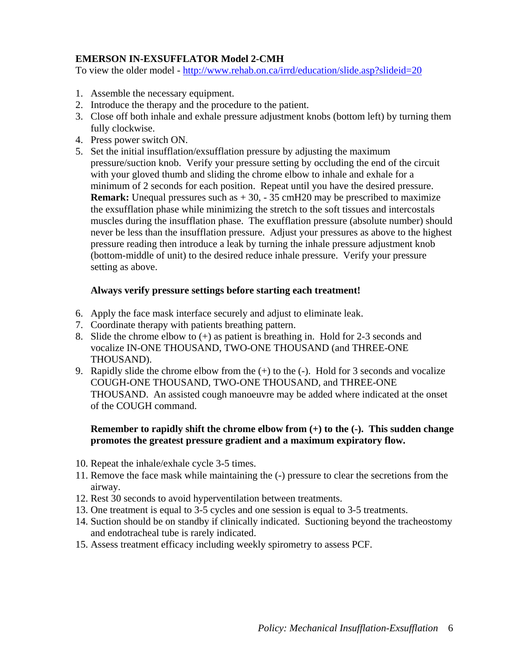# **EMERSON IN-EXSUFFLATOR Model 2-CMH**

To view the older model -<http://www.rehab.on.ca/irrd/education/slide.asp?slideid=20>

- 1. Assemble the necessary equipment.
- 2. Introduce the therapy and the procedure to the patient.
- 3. Close off both inhale and exhale pressure adjustment knobs (bottom left) by turning them fully clockwise.
- 4. Press power switch ON.
- 5. Set the initial insufflation/exsufflation pressure by adjusting the maximum pressure/suction knob. Verify your pressure setting by occluding the end of the circuit with your gloved thumb and sliding the chrome elbow to inhale and exhale for a minimum of 2 seconds for each position. Repeat until you have the desired pressure. **Remark:** Unequal pressures such as  $+30$ ,  $-35$  cmH20 may be prescribed to maximize the exsufflation phase while minimizing the stretch to the soft tissues and intercostals muscles during the insufflation phase. The exufflation pressure (absolute number) should never be less than the insufflation pressure. Adjust your pressures as above to the highest pressure reading then introduce a leak by turning the inhale pressure adjustment knob (bottom-middle of unit) to the desired reduce inhale pressure. Verify your pressure setting as above.

#### **Always verify pressure settings before starting each treatment!**

- 6. Apply the face mask interface securely and adjust to eliminate leak.
- 7. Coordinate therapy with patients breathing pattern.
- 8. Slide the chrome elbow to  $(+)$  as patient is breathing in. Hold for 2-3 seconds and vocalize IN-ONE THOUSAND, TWO-ONE THOUSAND (and THREE-ONE THOUSAND).
- 9. Rapidly slide the chrome elbow from the (+) to the (-). Hold for 3 seconds and vocalize COUGH-ONE THOUSAND, TWO-ONE THOUSAND, and THREE-ONE THOUSAND. An assisted cough manoeuvre may be added where indicated at the onset of the COUGH command.

#### **Remember to rapidly shift the chrome elbow from (+) to the (-). This sudden change promotes the greatest pressure gradient and a maximum expiratory flow.**

- 10. Repeat the inhale/exhale cycle 3-5 times.
- 11. Remove the face mask while maintaining the (-) pressure to clear the secretions from the airway.
- 12. Rest 30 seconds to avoid hyperventilation between treatments.
- 13. One treatment is equal to 3-5 cycles and one session is equal to 3-5 treatments.
- 14. Suction should be on standby if clinically indicated. Suctioning beyond the tracheostomy and endotracheal tube is rarely indicated.
- 15. Assess treatment efficacy including weekly spirometry to assess PCF.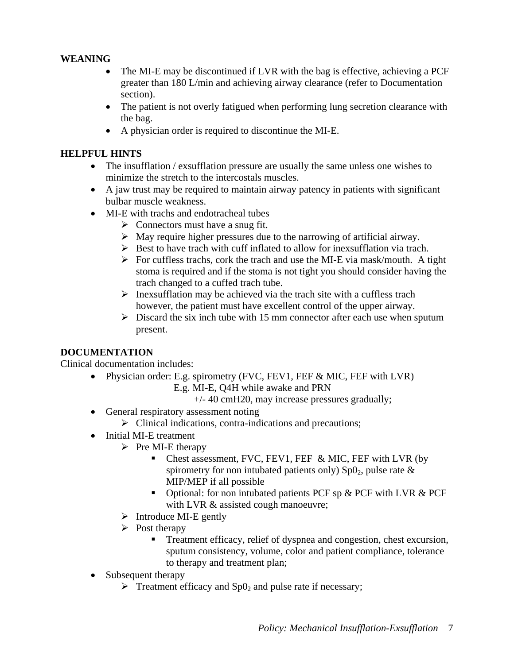# **WEANING**

- The MI-E may be discontinued if LVR with the bag is effective, achieving a PCF greater than 180 L/min and achieving airway clearance (refer to Documentation section).
- The patient is not overly fatigued when performing lung secretion clearance with the bag.
- A physician order is required to discontinue the MI-E.

## **HELPFUL HINTS**

- The insufflation / exsufflation pressure are usually the same unless one wishes to minimize the stretch to the intercostals muscles.
- A jaw trust may be required to maintain airway patency in patients with significant bulbar muscle weakness.
- MI-E with trachs and endotracheal tubes
	- $\triangleright$  Connectors must have a snug fit.
	- $\triangleright$  May require higher pressures due to the narrowing of artificial airway.
	- $\triangleright$  Best to have trach with cuff inflated to allow for inexsufflation via trach.
	- $\triangleright$  For cuffless trachs, cork the trach and use the MI-E via mask/mouth. A tight stoma is required and if the stoma is not tight you should consider having the trach changed to a cuffed trach tube.
	- $\triangleright$  Inexsufflation may be achieved via the trach site with a cuffless trach however, the patient must have excellent control of the upper airway.
	- $\triangleright$  Discard the six inch tube with 15 mm connector after each use when sputum present.

## **DOCUMENTATION**

Clinical documentation includes:

- Physician order: E.g. spirometry (FVC, FEV1, FEF & MIC, FEF with LVR) E.g. MI-E, Q4H while awake and PRN
	- +/- 40 cmH20, may increase pressures gradually;
- General respiratory assessment noting
	- $\triangleright$  Clinical indications, contra-indications and precautions;
- Initial MI-E treatment
	- $\triangleright$  Pre MI-E therapy
		- Chest assessment, FVC, FEV1, FEF  $&$  MIC, FEF with LVR (by spirometry for non intubated patients only)  $Sp0<sub>2</sub>$ , pulse rate  $\&$ MIP/MEP if all possible
		- Optional: for non intubated patients PCF sp & PCF with LVR & PCF with LVR  $&$  assisted cough manoeuvre;
	- $\triangleright$  Introduce MI-E gently
	- $\triangleright$  Post therapy
		- Treatment efficacy, relief of dyspnea and congestion, chest excursion, sputum consistency, volume, color and patient compliance, tolerance to therapy and treatment plan;
- Subsequent therapy
	- $\triangleright$  Treatment efficacy and Sp0<sub>2</sub> and pulse rate if necessary;